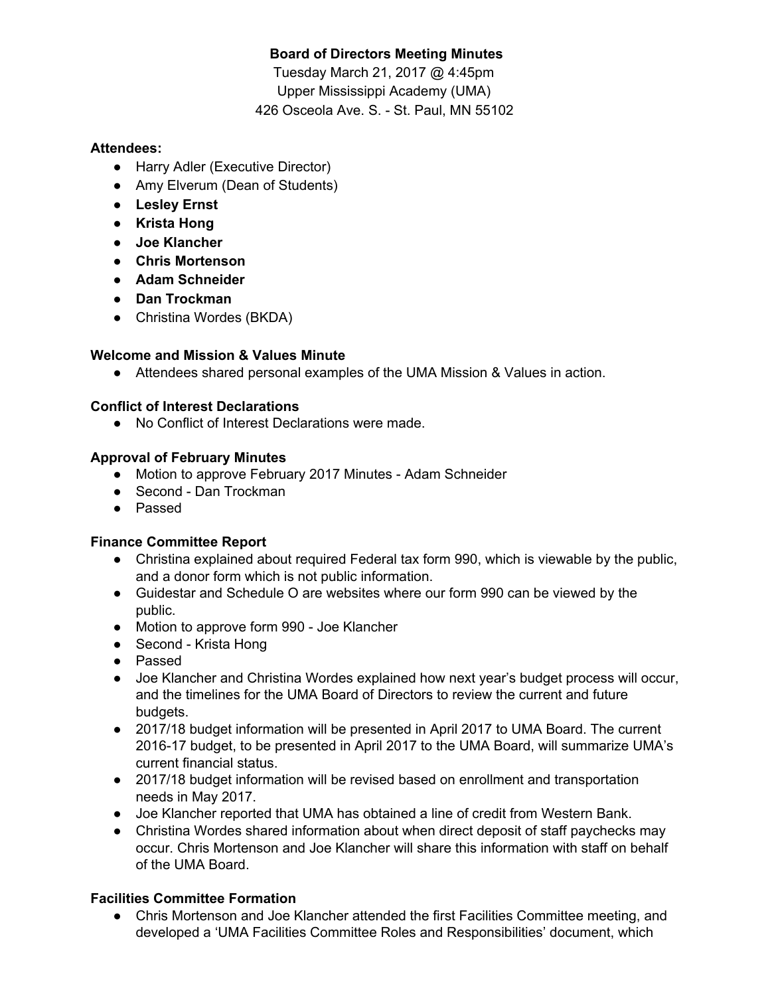# **Board of Directors Meeting Minutes**

Tuesday March 21, 2017 @ 4:45pm Upper Mississippi Academy (UMA) 426 Osceola Ave. S. - St. Paul, MN 55102

### **Attendees:**

- Harry Adler (Executive Director)
- Amy Elverum (Dean of Students)
- **Lesley Ernst**
- **● Krista Hong**
- **● Joe Klancher**
- **● Chris Mortenson**
- **● Adam Schneider**
- **● Dan Trockman**
- **●** Christina Wordes (BKDA)

## **Welcome and Mission & Values Minute**

● Attendees shared personal examples of the UMA Mission & Values in action.

### **Conflict of Interest Declarations**

● No Conflict of Interest Declarations were made.

#### **Approval of February Minutes**

- Motion to approve February 2017 Minutes Adam Schneider
- Second Dan Trockman
- Passed

#### **Finance Committee Report**

- Christina explained about required Federal tax form 990, which is viewable by the public, and a donor form which is not public information.
- Guidestar and Schedule O are websites where our form 990 can be viewed by the public.
- Motion to approve form 990 Joe Klancher
- Second Krista Hong
- Passed
- Joe Klancher and Christina Wordes explained how next year's budget process will occur, and the timelines for the UMA Board of Directors to review the current and future budgets.
- 2017/18 budget information will be presented in April 2017 to UMA Board. The current 2016-17 budget, to be presented in April 2017 to the UMA Board, will summarize UMA's current financial status.
- 2017/18 budget information will be revised based on enrollment and transportation needs in May 2017.
- Joe Klancher reported that UMA has obtained a line of credit from Western Bank.
- Christina Wordes shared information about when direct deposit of staff paychecks may occur. Chris Mortenson and Joe Klancher will share this information with staff on behalf of the UMA Board.

## **Facilities Committee Formation**

• Chris Mortenson and Joe Klancher attended the first Facilities Committee meeting, and developed a 'UMA Facilities Committee Roles and Responsibilities' document, which